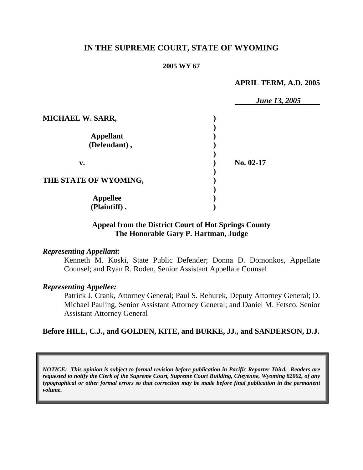# **IN THE SUPREME COURT, STATE OF WYOMING**

#### **2005 WY 67**

#### **APRIL TERM, A.D. 2005**

|                         | <b>June 13, 2005</b> |  |
|-------------------------|----------------------|--|
| <b>MICHAEL W. SARR,</b> |                      |  |
|                         |                      |  |
| <b>Appellant</b>        |                      |  |
| (Defendant),            |                      |  |
| v.                      | No. 02-17            |  |
| THE STATE OF WYOMING,   |                      |  |
| <b>Appellee</b>         |                      |  |
| (Plaintiff).            |                      |  |

## **Appeal from the District Court of Hot Springs County The Honorable Gary P. Hartman, Judge**

#### *Representing Appellant:*

Kenneth M. Koski, State Public Defender; Donna D. Domonkos, Appellate Counsel; and Ryan R. Roden, Senior Assistant Appellate Counsel

#### *Representing Appellee:*

Patrick J. Crank, Attorney General; Paul S. Rehurek, Deputy Attorney General; D. Michael Pauling, Senior Assistant Attorney General; and Daniel M. Fetsco, Senior Assistant Attorney General

**Before HILL, C.J., and GOLDEN, KITE, and BURKE, JJ., and SANDERSON, D.J.**

*NOTICE: This opinion is subject to formal revision before publication in Pacific Reporter Third. Readers are requested to notify the Clerk of the Supreme Court, Supreme Court Building, Cheyenne, Wyoming 82002, of any typographical or other formal errors so that correction may be made before final publication in the permanent volume.*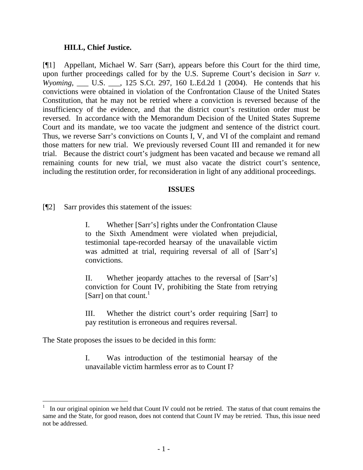### **HILL, Chief Justice.**

[¶1] Appellant, Michael W. Sarr (Sarr), appears before this Court for the third time, upon further proceedings called for by the U.S. Supreme Court's decision in *Sarr v. Wyoming*, \_\_\_ U.S. \_\_\_, 125 S.Ct. 297, 160 L.Ed.2d 1 (2004). He contends that his convictions were obtained in violation of the Confrontation Clause of the United States Constitution, that he may not be retried where a conviction is reversed because of the insufficiency of the evidence, and that the district court's restitution order must be reversed. In accordance with the Memorandum Decision of the United States Supreme Court and its mandate, we too vacate the judgment and sentence of the district court. Thus, we reverse Sarr's convictions on Counts I, V, and VI of the complaint and remand those matters for new trial. We previously reversed Count III and remanded it for new trial. Because the district court's judgment has been vacated and because we remand all remaining counts for new trial, we must also vacate the district court's sentence, including the restitution order, for reconsideration in light of any additional proceedings.

### **ISSUES**

[¶2] Sarr provides this statement of the issues:

I. Whether [Sarr's] rights under the Confrontation Clause to the Sixth Amendment were violated when prejudicial, testimonial tape-recorded hearsay of the unavailable victim was admitted at trial, requiring reversal of all of [Sarr's] convictions.

II. Whether jeopardy attaches to the reversal of [Sarr's] conviction for Count IV, prohibiting the State from retrying [Sarr] on that count.<sup>[1](#page-2-0)</sup>

III. Whether the district court's order requiring [Sarr] to pay restitution is erroneous and requires reversal.

The State proposes the issues to be decided in this form:

I. Was introduction of the testimonial hearsay of the unavailable victim harmless error as to Count I?

<span id="page-2-0"></span><sup>1</sup> In our original opinion we held that Count IV could not be retried. The status of that count remains the same and the State, for good reason, does not contend that Count IV may be retried. Thus, this issue need not be addressed.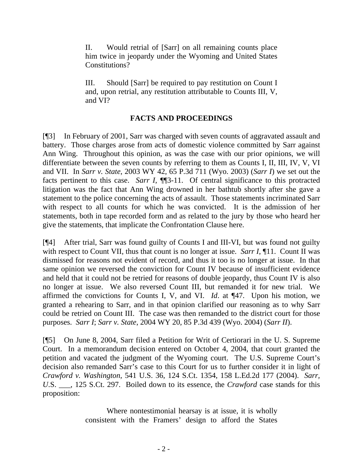II. Would retrial of [Sarr] on all remaining counts place him twice in jeopardy under the Wyoming and United States Constitutions?

III. Should [Sarr] be required to pay restitution on Count I and, upon retrial, any restitution attributable to Counts III, V, and VI?

# **FACTS AND PROCEEDINGS**

[¶3] In February of 2001, Sarr was charged with seven counts of aggravated assault and battery. Those charges arose from acts of domestic violence committed by Sarr against Ann Wing. Throughout this opinion, as was the case with our prior opinions, we will differentiate between the seven counts by referring to them as Counts I, II, III, IV, V, VI and VII. In *Sarr v. State*, 2003 WY 42, 65 P.3d 711 (Wyo. 2003) (*Sarr I*) we set out the facts pertinent to this case. *Sarr I*, **[15**-11. Of central significance to this protracted litigation was the fact that Ann Wing drowned in her bathtub shortly after she gave a statement to the police concerning the acts of assault. Those statements incriminated Sarr with respect to all counts for which he was convicted. It is the admission of her statements, both in tape recorded form and as related to the jury by those who heard her give the statements, that implicate the Confrontation Clause here.

[¶4] After trial, Sarr was found guilty of Counts I and III-VI, but was found not guilty with respect to Count VII, thus that count is no longer at issue. *Sarr I*, 11. Count II was dismissed for reasons not evident of record, and thus it too is no longer at issue. In that same opinion we reversed the conviction for Count IV because of insufficient evidence and held that it could not be retried for reasons of double jeopardy, thus Count IV is also no longer at issue. We also reversed Count III, but remanded it for new trial. We affirmed the convictions for Counts I, V, and VI. *Id*. at ¶47. Upon his motion, we granted a rehearing to Sarr, and in that opinion clarified our reasoning as to why Sarr could be retried on Count III. The case was then remanded to the district court for those purposes. *Sarr I*; *Sarr v. State*, 2004 WY 20, 85 P.3d 439 (Wyo. 2004) (*Sarr II*).

[¶5] On June 8, 2004, Sarr filed a Petition for Writ of Certiorari in the U. S. Supreme Court. In a memorandum decision entered on October 4, 2004, that court granted the petition and vacated the judgment of the Wyoming court. The U.S. Supreme Court's decision also remanded Sarr's case to this Court for us to further consider it in light of *Crawford v. Washington*, 541 U.S. 36, 124 S.Ct. 1354, 158 L.Ed.2d 177 (2004). *Sarr, U*.S. \_\_\_, 125 S.Ct. 297. Boiled down to its essence, the *Crawford* case stands for this proposition:

> Where nontestimonial hearsay is at issue, it is wholly consistent with the Framers' design to afford the States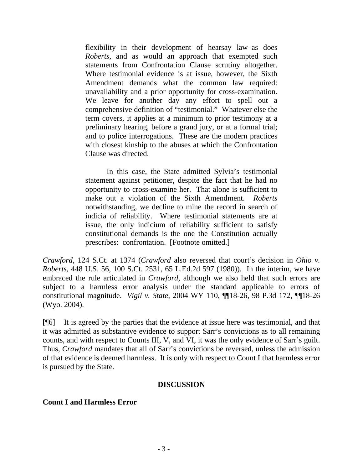flexibility in their development of hearsay law–as does *Roberts*, and as would an approach that exempted such statements from Confrontation Clause scrutiny altogether. Where testimonial evidence is at issue, however, the Sixth Amendment demands what the common law required: unavailability and a prior opportunity for cross-examination. We leave for another day any effort to spell out a comprehensive definition of "testimonial." Whatever else the term covers, it applies at a minimum to prior testimony at a preliminary hearing, before a grand jury, or at a formal trial; and to police interrogations. These are the modern practices with closest kinship to the abuses at which the Confrontation Clause was directed.

In this case, the State admitted Sylvia's testimonial statement against petitioner, despite the fact that he had no opportunity to cross-examine her. That alone is sufficient to make out a violation of the Sixth Amendment. *Roberts* notwithstanding, we decline to mine the record in search of indicia of reliability. Where testimonial statements are at issue, the only indicium of reliability sufficient to satisfy constitutional demands is the one the Constitution actually prescribes: confrontation. [Footnote omitted.]

*Crawford*, 124 S.Ct. at 1374 (*Crawford* also reversed that court's decision in *Ohio v. Roberts*, 448 U.S. 56, 100 S.Ct. 2531, 65 L.Ed.2d 597 (1980)). In the interim, we have embraced the rule articulated in *Crawford*, although we also held that such errors are subject to a harmless error analysis under the standard applicable to errors of constitutional magnitude. *Vigil v. State*, 2004 WY 110, ¶¶18-26, 98 P.3d 172, ¶¶18-26 (Wyo. 2004).

[¶6] It is agreed by the parties that the evidence at issue here was testimonial, and that it was admitted as substantive evidence to support Sarr's convictions as to all remaining counts, and with respect to Counts III, V, and VI, it was the only evidence of Sarr's guilt. Thus, *Crawford* mandates that all of Sarr's convictions be reversed, unless the admission of that evidence is deemed harmless. It is only with respect to Count I that harmless error is pursued by the State.

## **DISCUSSION**

### **Count I and Harmless Error**